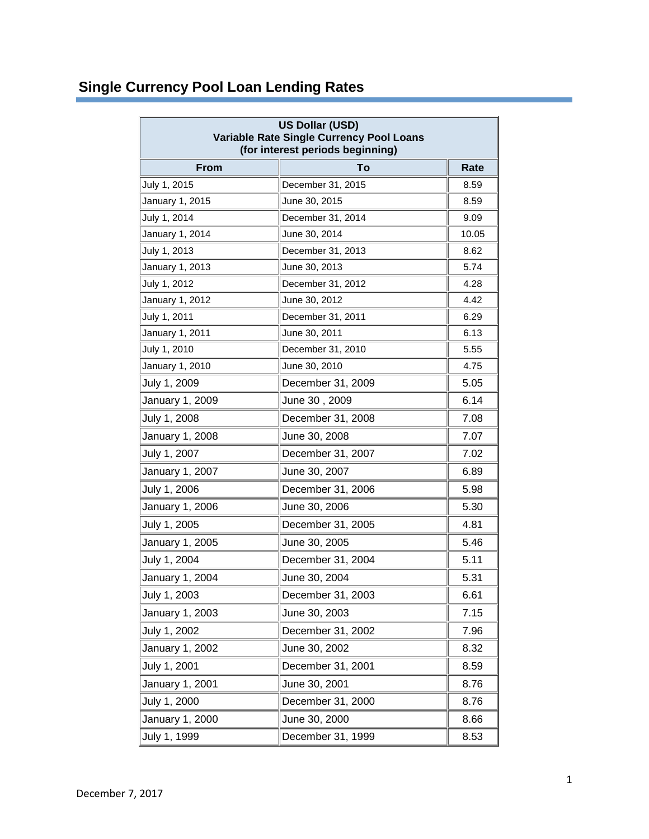## **Single Currency Pool Loan Lending Rates**

| US Dollar (USD)<br>Variable Rate Single Currency Pool Loans<br>(for interest periods beginning) |                   |       |  |
|-------------------------------------------------------------------------------------------------|-------------------|-------|--|
| <b>From</b>                                                                                     | Τo                | Rate  |  |
| July 1, 2015                                                                                    | December 31, 2015 | 8.59  |  |
| January 1, 2015                                                                                 | June 30, 2015     | 8.59  |  |
| July 1, 2014                                                                                    | December 31, 2014 | 9.09  |  |
| January 1, 2014                                                                                 | June 30, 2014     | 10.05 |  |
| July 1, 2013                                                                                    | December 31, 2013 | 8.62  |  |
| January 1, 2013                                                                                 | June 30, 2013     | 5.74  |  |
| July 1, 2012                                                                                    | December 31, 2012 | 4.28  |  |
| January 1, 2012                                                                                 | June 30, 2012     | 4.42  |  |
| July 1, 2011                                                                                    | December 31, 2011 | 6.29  |  |
| January 1, 2011                                                                                 | June 30, 2011     | 6.13  |  |
| July 1, 2010                                                                                    | December 31, 2010 | 5.55  |  |
| January 1, 2010                                                                                 | June 30, 2010     | 4.75  |  |
| July 1, 2009                                                                                    | December 31, 2009 | 5.05  |  |
| January 1, 2009                                                                                 | June 30, 2009     | 6.14  |  |
| July 1, 2008                                                                                    | December 31, 2008 | 7.08  |  |
| January 1, 2008                                                                                 | June 30, 2008     | 7.07  |  |
| July 1, 2007                                                                                    | December 31, 2007 | 7.02  |  |
| January 1, 2007                                                                                 | June 30, 2007     | 6.89  |  |
| July 1, 2006                                                                                    | December 31, 2006 | 5.98  |  |
| January 1, 2006                                                                                 | June 30, 2006     | 5.30  |  |
| July 1, 2005                                                                                    | December 31, 2005 | 4.81  |  |
| January 1, 2005                                                                                 | June 30, 2005     | 5.46  |  |
| July 1, 2004                                                                                    | December 31, 2004 | 5.11  |  |
| January 1, 2004                                                                                 | June 30, 2004     | 5.31  |  |
| July 1, 2003                                                                                    | December 31, 2003 | 6.61  |  |
| January 1, 2003                                                                                 | June 30, 2003     | 7.15  |  |
| July 1, 2002                                                                                    | December 31, 2002 | 7.96  |  |
| January 1, 2002                                                                                 | June 30, 2002     | 8.32  |  |
| July 1, 2001                                                                                    | December 31, 2001 | 8.59  |  |
| January 1, 2001                                                                                 | June 30, 2001     | 8.76  |  |
| July 1, 2000                                                                                    | December 31, 2000 | 8.76  |  |
| January 1, 2000                                                                                 | June 30, 2000     | 8.66  |  |
| July 1, 1999                                                                                    | December 31, 1999 | 8.53  |  |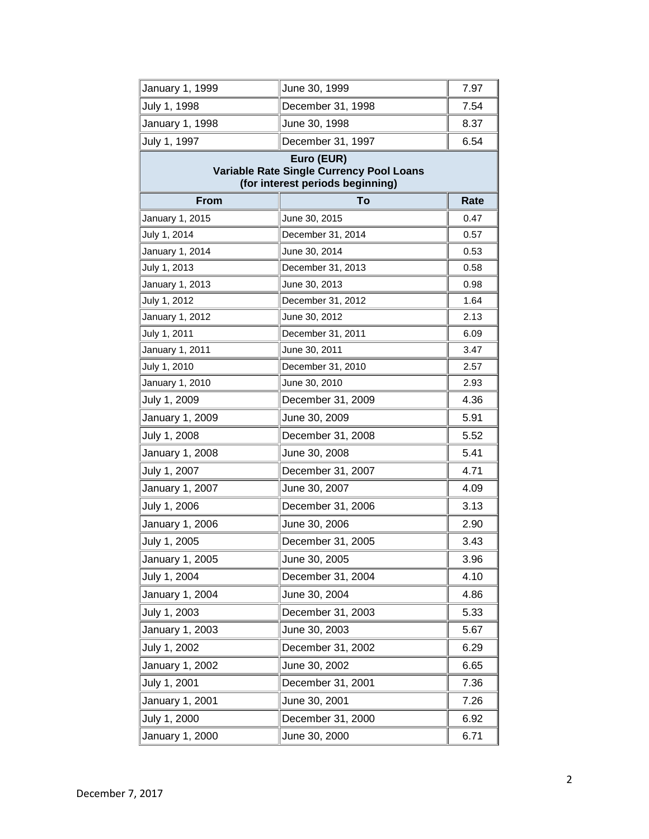| January 1, 1999                                                                            | June 30, 1999     | 7.97 |  |
|--------------------------------------------------------------------------------------------|-------------------|------|--|
| July 1, 1998                                                                               | December 31, 1998 | 7.54 |  |
| January 1, 1998                                                                            | June 30, 1998     | 8.37 |  |
| July 1, 1997                                                                               | December 31, 1997 | 6.54 |  |
| Euro (EUR)<br>Variable Rate Single Currency Pool Loans<br>(for interest periods beginning) |                   |      |  |
| <b>From</b>                                                                                | To                | Rate |  |
| January 1, 2015                                                                            | June 30, 2015     | 0.47 |  |
| July 1, 2014                                                                               | December 31, 2014 | 0.57 |  |
| January 1, 2014                                                                            | June 30, 2014     | 0.53 |  |
| July 1, 2013                                                                               | December 31, 2013 | 0.58 |  |
| January 1, 2013                                                                            | June 30, 2013     | 0.98 |  |
| July 1, 2012                                                                               | December 31, 2012 | 1.64 |  |
| January 1, 2012                                                                            | June 30, 2012     | 2.13 |  |
| July 1, 2011                                                                               | December 31, 2011 | 6.09 |  |
| January 1, 2011                                                                            | June 30, 2011     | 3.47 |  |
| July 1, 2010                                                                               | December 31, 2010 | 2.57 |  |
| January 1, 2010                                                                            | June 30, 2010     | 2.93 |  |
| July 1, 2009                                                                               | December 31, 2009 | 4.36 |  |
| January 1, 2009                                                                            | June 30, 2009     | 5.91 |  |
| July 1, 2008                                                                               | December 31, 2008 | 5.52 |  |
| January 1, 2008                                                                            | June 30, 2008     | 5.41 |  |
| July 1, 2007                                                                               | December 31, 2007 | 4.71 |  |
| January 1, 2007                                                                            | June 30, 2007     | 4.09 |  |
| July 1, 2006                                                                               | December 31, 2006 | 3.13 |  |
| January 1, 2006                                                                            | June 30, 2006     | 2.90 |  |
| July 1, 2005                                                                               | December 31, 2005 | 3.43 |  |
| January 1, 2005                                                                            | June 30, 2005     | 3.96 |  |
| July 1, 2004                                                                               | December 31, 2004 | 4.10 |  |
| January 1, 2004                                                                            | June 30, 2004     | 4.86 |  |
| July 1, 2003                                                                               | December 31, 2003 | 5.33 |  |
| January 1, 2003                                                                            | June 30, 2003     | 5.67 |  |
| July 1, 2002                                                                               | December 31, 2002 | 6.29 |  |
| January 1, 2002                                                                            | June 30, 2002     | 6.65 |  |
| July 1, 2001                                                                               | December 31, 2001 | 7.36 |  |
| January 1, 2001                                                                            | June 30, 2001     | 7.26 |  |
| July 1, 2000                                                                               | December 31, 2000 | 6.92 |  |
| January 1, 2000                                                                            | June 30, 2000     | 6.71 |  |